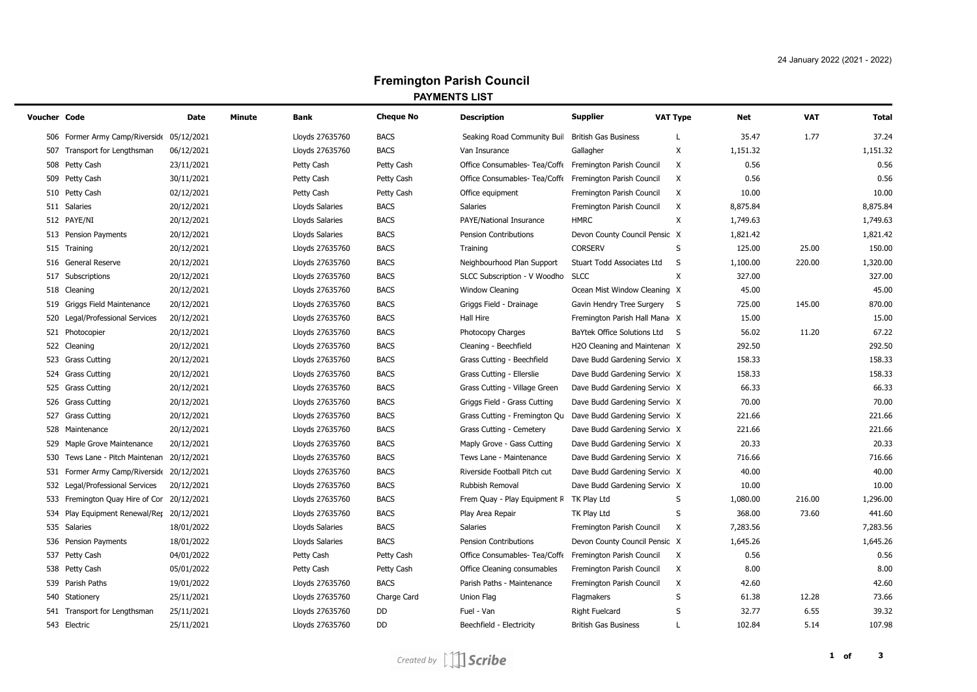## **Fremington Parish Council PAYMENTS LIST**

| Voucher Code |                                            | Date       | Minute | Bank            | <b>Cheque No</b> | <b>Description</b>            | <b>Supplier</b>               | <b>VAT Type</b> | Net      | <b>VAT</b> | Total    |
|--------------|--------------------------------------------|------------|--------|-----------------|------------------|-------------------------------|-------------------------------|-----------------|----------|------------|----------|
|              | 506 Former Army Camp/Riverside 05/12/2021  |            |        | Lloyds 27635760 | <b>BACS</b>      | Seaking Road Community Buil   | <b>British Gas Business</b>   |                 | 35.47    | 1.77       | 37.24    |
|              | 507 Transport for Lengthsman               | 06/12/2021 |        | Lloyds 27635760 | <b>BACS</b>      | Van Insurance                 | Gallagher                     | X               | 1,151.32 |            | 1,151.32 |
|              | 508 Petty Cash                             | 23/11/2021 |        | Petty Cash      | Petty Cash       | Office Consumables- Tea/Coffe | Fremington Parish Council     | X               | 0.56     |            | 0.56     |
|              | 509 Petty Cash                             | 30/11/2021 |        | Petty Cash      | Petty Cash       | Office Consumables- Tea/Coffe | Fremington Parish Council     | Χ               | 0.56     |            | 0.56     |
|              | 510 Petty Cash                             | 02/12/2021 |        | Petty Cash      | Petty Cash       | Office equipment              | Fremington Parish Council     | X               | 10.00    |            | 10.00    |
|              | 511 Salaries                               | 20/12/2021 |        | Lloyds Salaries | <b>BACS</b>      | <b>Salaries</b>               | Fremington Parish Council     | Χ               | 8,875.84 |            | 8,875.84 |
|              | 512 PAYE/NI                                | 20/12/2021 |        | Lloyds Salaries | <b>BACS</b>      | PAYE/National Insurance       | <b>HMRC</b>                   | X               | 1,749.63 |            | 1,749.63 |
|              | 513 Pension Payments                       | 20/12/2021 |        | Lloyds Salaries | <b>BACS</b>      | Pension Contributions         | Devon County Council Pensic X |                 | 1,821.42 |            | 1,821.42 |
|              | 515 Training                               | 20/12/2021 |        | Lloyds 27635760 | <b>BACS</b>      | Training                      | <b>CORSERV</b>                | S               | 125.00   | 25.00      | 150.00   |
|              | 516 General Reserve                        | 20/12/2021 |        | Lloyds 27635760 | <b>BACS</b>      | Neighbourhood Plan Support    | Stuart Todd Associates Ltd    | S               | 1,100.00 | 220.00     | 1,320.00 |
|              | 517 Subscriptions                          | 20/12/2021 |        | Lloyds 27635760 | <b>BACS</b>      | SLCC Subscription - V Woodho  | <b>SLCC</b>                   | X               | 327.00   |            | 327.00   |
|              | 518 Cleaning                               | 20/12/2021 |        | Lloyds 27635760 | <b>BACS</b>      | Window Cleaning               | Ocean Mist Window Cleaning X  |                 | 45.00    |            | 45.00    |
|              | 519 Griggs Field Maintenance               | 20/12/2021 |        | Lloyds 27635760 | <b>BACS</b>      | Griggs Field - Drainage       | Gavin Hendry Tree Surgery S   |                 | 725.00   | 145.00     | 870.00   |
|              | 520 Legal/Professional Services            | 20/12/2021 |        | Lloyds 27635760 | <b>BACS</b>      | Hall Hire                     | Fremington Parish Hall Mana X |                 | 15.00    |            | 15.00    |
|              | 521 Photocopier                            | 20/12/2021 |        | Lloyds 27635760 | <b>BACS</b>      | Photocopy Charges             | BaYtek Office Solutions Ltd   | -S              | 56.02    | 11.20      | 67.22    |
|              | 522 Cleaning                               | 20/12/2021 |        | Lloyds 27635760 | <b>BACS</b>      | Cleaning - Beechfield         | H2O Cleaning and Maintenan X  |                 | 292.50   |            | 292.50   |
|              | 523 Grass Cutting                          | 20/12/2021 |        | Lloyds 27635760 | <b>BACS</b>      | Grass Cutting - Beechfield    | Dave Budd Gardening Service X |                 | 158.33   |            | 158.33   |
|              | 524 Grass Cutting                          | 20/12/2021 |        | Lloyds 27635760 | <b>BACS</b>      | Grass Cutting - Ellerslie     | Dave Budd Gardening Service X |                 | 158.33   |            | 158.33   |
|              | 525 Grass Cutting                          | 20/12/2021 |        | Lloyds 27635760 | <b>BACS</b>      | Grass Cutting - Village Green | Dave Budd Gardening Service X |                 | 66.33    |            | 66.33    |
|              | 526 Grass Cutting                          | 20/12/2021 |        | Lloyds 27635760 | <b>BACS</b>      | Griggs Field - Grass Cutting  | Dave Budd Gardening Service X |                 | 70.00    |            | 70.00    |
|              | 527 Grass Cutting                          | 20/12/2021 |        | Lloyds 27635760 | <b>BACS</b>      | Grass Cutting - Fremington Qu | Dave Budd Gardening Service X |                 | 221.66   |            | 221.66   |
|              | 528 Maintenance                            | 20/12/2021 |        | Lloyds 27635760 | <b>BACS</b>      | Grass Cutting - Cemetery      | Dave Budd Gardening Service X |                 | 221.66   |            | 221.66   |
| 529          | Maple Grove Maintenance                    | 20/12/2021 |        | Lloyds 27635760 | <b>BACS</b>      | Maply Grove - Gass Cutting    | Dave Budd Gardening Service X |                 | 20.33    |            | 20.33    |
| 530          | Tews Lane - Pitch Maintenan 20/12/2021     |            |        | Lloyds 27635760 | <b>BACS</b>      | Tews Lane - Maintenance       | Dave Budd Gardening Service X |                 | 716.66   |            | 716.66   |
|              | 531 Former Army Camp/Riverside 20/12/2021  |            |        | Lloyds 27635760 | <b>BACS</b>      | Riverside Football Pitch cut  | Dave Budd Gardening Service X |                 | 40.00    |            | 40.00    |
|              | 532 Legal/Professional Services            | 20/12/2021 |        | Lloyds 27635760 | <b>BACS</b>      | Rubbish Removal               | Dave Budd Gardening Service X |                 | 10.00    |            | 10.00    |
|              | 533 Fremington Quay Hire of Cor 20/12/2021 |            |        | Lloyds 27635760 | <b>BACS</b>      | Frem Quay - Play Equipment R  | TK Play Ltd                   | S               | 1,080.00 | 216.00     | 1,296.00 |
|              | 534 Play Equipment Renewal/Rer 20/12/2021  |            |        | Lloyds 27635760 | <b>BACS</b>      | Play Area Repair              | TK Play Ltd                   | S               | 368.00   | 73.60      | 441.60   |
|              | 535 Salaries                               | 18/01/2022 |        | Lloyds Salaries | <b>BACS</b>      | Salaries                      | Fremington Parish Council     | X               | 7,283.56 |            | 7,283.56 |
|              | 536 Pension Payments                       | 18/01/2022 |        | Lloyds Salaries | <b>BACS</b>      | Pension Contributions         | Devon County Council Pensic X |                 | 1,645.26 |            | 1,645.26 |
|              | 537 Petty Cash                             | 04/01/2022 |        | Petty Cash      | Petty Cash       | Office Consumables- Tea/Coffe | Fremington Parish Council     | X               | 0.56     |            | 0.56     |
|              | 538 Petty Cash                             | 05/01/2022 |        | Petty Cash      | Petty Cash       | Office Cleaning consumables   | Fremington Parish Council     | Χ               | 8.00     |            | 8.00     |
|              | 539 Parish Paths                           | 19/01/2022 |        | Lloyds 27635760 | <b>BACS</b>      | Parish Paths - Maintenance    | Fremington Parish Council     | Χ               | 42.60    |            | 42.60    |
|              | 540 Stationery                             | 25/11/2021 |        | Lloyds 27635760 | Charge Card      | Union Flag                    | Flagmakers                    | S               | 61.38    | 12.28      | 73.66    |
|              | 541 Transport for Lengthsman               | 25/11/2021 |        | Lloyds 27635760 | DD               | Fuel - Van                    | <b>Right Fuelcard</b>         | S               | 32.77    | 6.55       | 39.32    |
|              | 543 Electric                               | 25/11/2021 |        | Lloyds 27635760 | <b>DD</b>        | Beechfield - Electricity      | <b>British Gas Business</b>   |                 | 102.84   | 5.14       | 107.98   |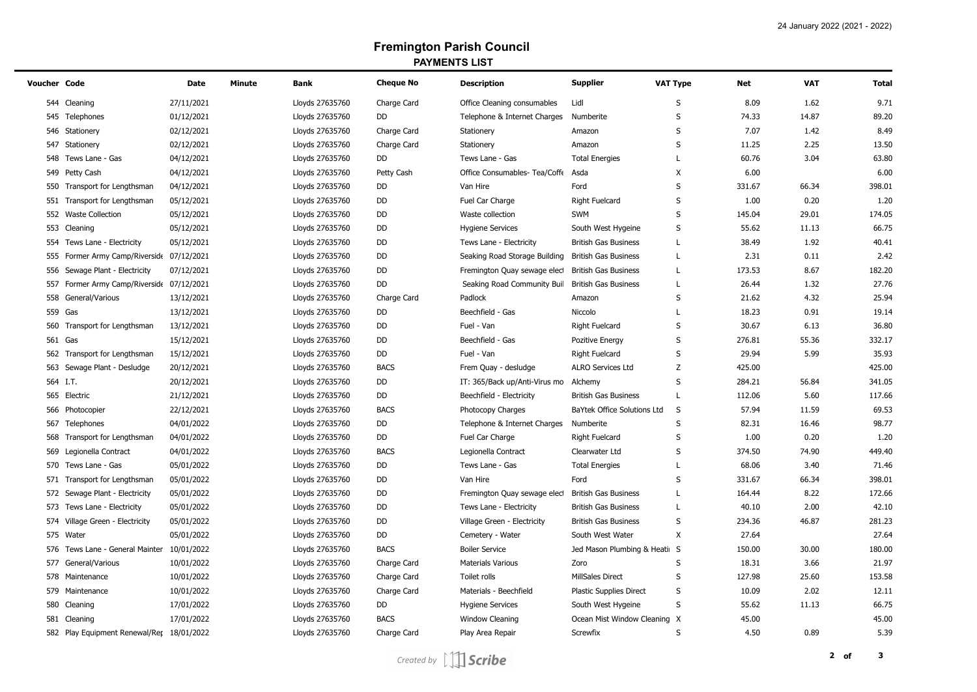## **Fremington Parish Council PAYMENTS LIST**

| Voucher Code |                                            | <b>Date</b> | Minute | Bank            | <b>Cheque No</b> | <b>Description</b>            | <b>Supplier</b>               | <b>VAT Type</b> | Net    | <b>VAT</b> | <b>Total</b> |
|--------------|--------------------------------------------|-------------|--------|-----------------|------------------|-------------------------------|-------------------------------|-----------------|--------|------------|--------------|
|              | 544 Cleaning                               | 27/11/2021  |        | Lloyds 27635760 | Charge Card      | Office Cleaning consumables   | Lidl                          | S               | 8.09   | 1.62       | 9.71         |
|              | 545 Telephones                             | 01/12/2021  |        | Lloyds 27635760 | DD               | Telephone & Internet Charges  | Numberite                     | S               | 74.33  | 14.87      | 89.20        |
|              | 546 Stationery                             | 02/12/2021  |        | Lloyds 27635760 | Charge Card      | Stationery                    | Amazon                        | S               | 7.07   | 1.42       | 8.49         |
| 547          | Stationery                                 | 02/12/2021  |        | Lloyds 27635760 | Charge Card      | Stationery                    | Amazon                        | S               | 11.25  | 2.25       | 13.50        |
| 548          | Tews Lane - Gas                            | 04/12/2021  |        | Lloyds 27635760 | DD               | Tews Lane - Gas               | <b>Total Energies</b>         | L               | 60.76  | 3.04       | 63.80        |
|              | 549 Petty Cash                             | 04/12/2021  |        | Lloyds 27635760 | Petty Cash       | Office Consumables- Tea/Coffe | Asda                          | X               | 6.00   |            | 6.00         |
|              | 550 Transport for Lengthsman               | 04/12/2021  |        | Lloyds 27635760 | DD               | Van Hire                      | Ford                          | S               | 331.67 | 66.34      | 398.01       |
|              | 551 Transport for Lengthsman               | 05/12/2021  |        | Lloyds 27635760 | DD               | Fuel Car Charge               | <b>Right Fuelcard</b>         | S               | 1.00   | 0.20       | 1.20         |
|              | 552 Waste Collection                       | 05/12/2021  |        | Lloyds 27635760 | DD               | Waste collection              | <b>SWM</b>                    | S               | 145.04 | 29.01      | 174.05       |
| 553          | Cleaning                                   | 05/12/2021  |        | Lloyds 27635760 | DD               | <b>Hygiene Services</b>       | South West Hygeine            | S               | 55.62  | 11.13      | 66.75        |
| 554          | Tews Lane - Electricity                    | 05/12/2021  |        | Lloyds 27635760 | DD               | Tews Lane - Electricity       | <b>British Gas Business</b>   | L               | 38.49  | 1.92       | 40.41        |
|              | 555 Former Army Camp/Riverside 07/12/2021  |             |        | Lloyds 27635760 | DD               | Seaking Road Storage Building | <b>British Gas Business</b>   | L               | 2.31   | 0.11       | 2.42         |
|              | 556 Sewage Plant - Electricity             | 07/12/2021  |        | Lloyds 27635760 | DD               | Fremington Quay sewage elect  | <b>British Gas Business</b>   | L               | 173.53 | 8.67       | 182.20       |
| 557          | Former Army Camp/Riverside 07/12/2021      |             |        | Lloyds 27635760 | DD               | Seaking Road Community Buil   | <b>British Gas Business</b>   | L               | 26.44  | 1.32       | 27.76        |
| 558          | General/Various                            | 13/12/2021  |        | Lloyds 27635760 | Charge Card      | Padlock                       | Amazon                        | S               | 21.62  | 4.32       | 25.94        |
| 559          | Gas                                        | 13/12/2021  |        | Lloyds 27635760 | DD               | Beechfield - Gas              | Niccolo                       | L               | 18.23  | 0.91       | 19.14        |
| 560          | Transport for Lengthsman                   | 13/12/2021  |        | Lloyds 27635760 | DD               | Fuel - Van                    | <b>Right Fuelcard</b>         | S               | 30.67  | 6.13       | 36.80        |
|              | 561 Gas                                    | 15/12/2021  |        | Lloyds 27635760 | DD               | Beechfield - Gas              | Pozitive Energy               | S               | 276.81 | 55.36      | 332.17       |
|              | 562 Transport for Lengthsman               | 15/12/2021  |        | Lloyds 27635760 | DD               | Fuel - Van                    | <b>Right Fuelcard</b>         | $\sf S$         | 29.94  | 5.99       | 35.93        |
| 563          | Sewage Plant - Desludge                    | 20/12/2021  |        | Lloyds 27635760 | <b>BACS</b>      | Frem Quay - desludge          | ALRO Services Ltd             | Z               | 425.00 |            | 425.00       |
|              | 564 I.T.                                   | 20/12/2021  |        | Lloyds 27635760 | DD               | IT: 365/Back up/Anti-Virus mo | Alchemy                       | S               | 284.21 | 56.84      | 341.05       |
| 565          | Electric                                   | 21/12/2021  |        | Lloyds 27635760 | DD               | Beechfield - Electricity      | <b>British Gas Business</b>   | L               | 112.06 | 5.60       | 117.66       |
|              | 566 Photocopier                            | 22/12/2021  |        | Lloyds 27635760 | <b>BACS</b>      | Photocopy Charges             | BaYtek Office Solutions Ltd   | S               | 57.94  | 11.59      | 69.53        |
|              | 567 Telephones                             | 04/01/2022  |        | Lloyds 27635760 | DD               | Telephone & Internet Charges  | Numberite                     | S               | 82.31  | 16.46      | 98.77        |
|              | 568 Transport for Lengthsman               | 04/01/2022  |        | Lloyds 27635760 | DD               | Fuel Car Charge               | <b>Right Fuelcard</b>         | S               | 1.00   | 0.20       | 1.20         |
| 569          | Legionella Contract                        | 04/01/2022  |        | Lloyds 27635760 | <b>BACS</b>      | Legionella Contract           | Clearwater Ltd                | S               | 374.50 | 74.90      | 449.40       |
| 570          | Tews Lane - Gas                            | 05/01/2022  |        | Lloyds 27635760 | DD               | Tews Lane - Gas               | <b>Total Energies</b>         | L               | 68.06  | 3.40       | 71.46        |
|              | 571 Transport for Lengthsman               | 05/01/2022  |        | Lloyds 27635760 | DD               | Van Hire                      | Ford                          | S               | 331.67 | 66.34      | 398.01       |
|              | 572 Sewage Plant - Electricity             | 05/01/2022  |        | Lloyds 27635760 | DD               | Fremington Quay sewage elect  | <b>British Gas Business</b>   | L               | 164.44 | 8.22       | 172.66       |
|              | 573 Tews Lane - Electricity                | 05/01/2022  |        | Lloyds 27635760 | DD               | Tews Lane - Electricity       | <b>British Gas Business</b>   | L               | 40.10  | 2.00       | 42.10        |
| 574          | Village Green - Electricity                | 05/01/2022  |        | Lloyds 27635760 | DD               | Village Green - Electricity   | <b>British Gas Business</b>   | S               | 234.36 | 46.87      | 281.23       |
| 575          | Water                                      | 05/01/2022  |        | Lloyds 27635760 | DD               | Cemetery - Water              | South West Water              | X               | 27.64  |            | 27.64        |
|              | 576 Tews Lane - General Mainter 10/01/2022 |             |        | Lloyds 27635760 | <b>BACS</b>      | <b>Boiler Service</b>         | Jed Mason Plumbing & Heatin S |                 | 150.00 | 30.00      | 180.00       |
| 577          | General/Various                            | 10/01/2022  |        | Lloyds 27635760 | Charge Card      | <b>Materials Various</b>      | Zoro                          | S               | 18.31  | 3.66       | 21.97        |
|              | 578 Maintenance                            | 10/01/2022  |        | Lloyds 27635760 | Charge Card      | Toilet rolls                  | <b>MillSales Direct</b>       | S               | 127.98 | 25.60      | 153.58       |
| 579          | Maintenance                                | 10/01/2022  |        | Lloyds 27635760 | Charge Card      | Materials - Beechfield        | Plastic Supplies Direct       | $\sf S$         | 10.09  | 2.02       | 12.11        |
| 580          | Cleaning                                   | 17/01/2022  |        | Lloyds 27635760 | DD               | <b>Hygiene Services</b>       | South West Hygeine            | S               | 55.62  | 11.13      | 66.75        |
| 581          | Cleaning                                   | 17/01/2022  |        | Lloyds 27635760 | <b>BACS</b>      | <b>Window Cleaning</b>        | Ocean Mist Window Cleaning    | X               | 45.00  |            | 45.00        |
|              | 582 Play Equipment Renewal/Rer 18/01/2022  |             |        | Lloyds 27635760 | Charge Card      | Play Area Repair              | Screwfix                      | S               | 4.50   | 0.89       | 5.39         |